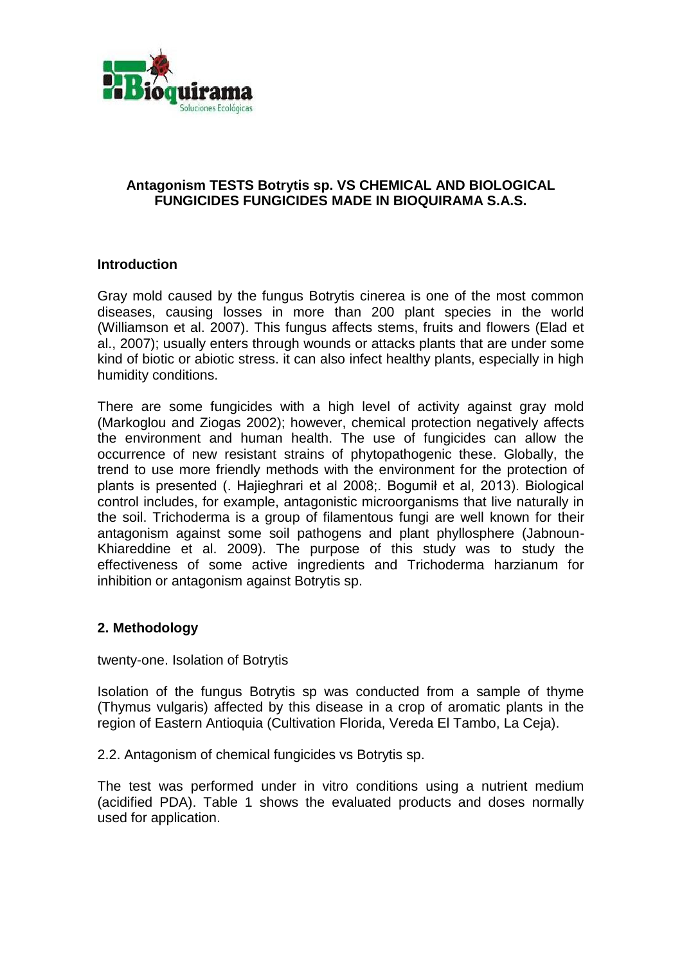

## **Antagonism TESTS Botrytis sp. VS CHEMICAL AND BIOLOGICAL FUNGICIDES FUNGICIDES MADE IN BIOQUIRAMA S.A.S.**

## **Introduction**

Gray mold caused by the fungus Botrytis cinerea is one of the most common diseases, causing losses in more than 200 plant species in the world (Williamson et al. 2007). This fungus affects stems, fruits and flowers (Elad et al., 2007); usually enters through wounds or attacks plants that are under some kind of biotic or abiotic stress. it can also infect healthy plants, especially in high humidity conditions.

There are some fungicides with a high level of activity against gray mold (Markoglou and Ziogas 2002); however, chemical protection negatively affects the environment and human health. The use of fungicides can allow the occurrence of new resistant strains of phytopathogenic these. Globally, the trend to use more friendly methods with the environment for the protection of plants is presented (. Hajieghrari et al 2008;. Bogumił et al, 2013). Biological control includes, for example, antagonistic microorganisms that live naturally in the soil. Trichoderma is a group of filamentous fungi are well known for their antagonism against some soil pathogens and plant phyllosphere (Jabnoun-Khiareddine et al. 2009). The purpose of this study was to study the effectiveness of some active ingredients and Trichoderma harzianum for inhibition or antagonism against Botrytis sp.

## **2. Methodology**

twenty-one. Isolation of Botrytis

Isolation of the fungus Botrytis sp was conducted from a sample of thyme (Thymus vulgaris) affected by this disease in a crop of aromatic plants in the region of Eastern Antioquia (Cultivation Florida, Vereda El Tambo, La Ceja).

2.2. Antagonism of chemical fungicides vs Botrytis sp.

The test was performed under in vitro conditions using a nutrient medium (acidified PDA). Table 1 shows the evaluated products and doses normally used for application.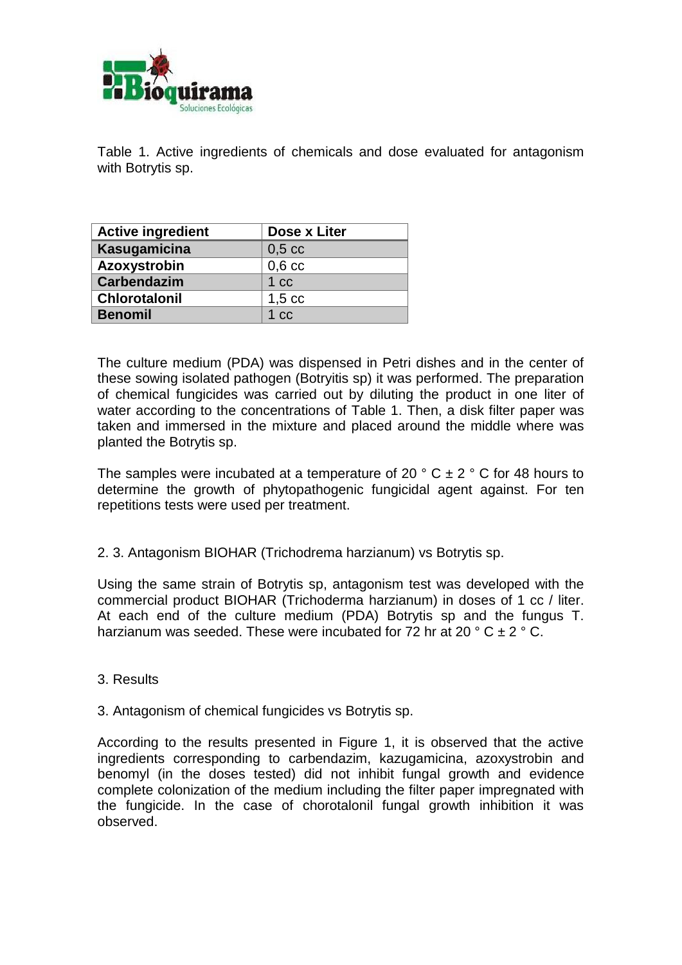

Table 1. Active ingredients of chemicals and dose evaluated for antagonism with Botrytis sp.

| <b>Active ingredient</b> | Dose x Liter    |
|--------------------------|-----------------|
| Kasugamicina             | $0,5$ cc        |
| Azoxystrobin             | $0,6$ cc        |
| <b>Carbendazim</b>       | 1 <sub>cc</sub> |
| <b>Chlorotalonil</b>     | $1,5$ cc        |
| <b>Benomil</b>           | 1 <sub>cc</sub> |

The culture medium (PDA) was dispensed in Petri dishes and in the center of these sowing isolated pathogen (Botryitis sp) it was performed. The preparation of chemical fungicides was carried out by diluting the product in one liter of water according to the concentrations of Table 1. Then, a disk filter paper was taken and immersed in the mixture and placed around the middle where was planted the Botrytis sp.

The samples were incubated at a temperature of 20  $\degree$  C  $\pm$  2  $\degree$  C for 48 hours to determine the growth of phytopathogenic fungicidal agent against. For ten repetitions tests were used per treatment.

2. 3. Antagonism BIOHAR (Trichodrema harzianum) vs Botrytis sp.

Using the same strain of Botrytis sp, antagonism test was developed with the commercial product BIOHAR (Trichoderma harzianum) in doses of 1 cc / liter. At each end of the culture medium (PDA) Botrytis sp and the fungus T. harzianum was seeded. These were incubated for 72 hr at 20  $\degree$  C  $\pm$  2  $\degree$  C.

- 3. Results
- 3. Antagonism of chemical fungicides vs Botrytis sp.

According to the results presented in Figure 1, it is observed that the active ingredients corresponding to carbendazim, kazugamicina, azoxystrobin and benomyl (in the doses tested) did not inhibit fungal growth and evidence complete colonization of the medium including the filter paper impregnated with the fungicide. In the case of chorotalonil fungal growth inhibition it was observed.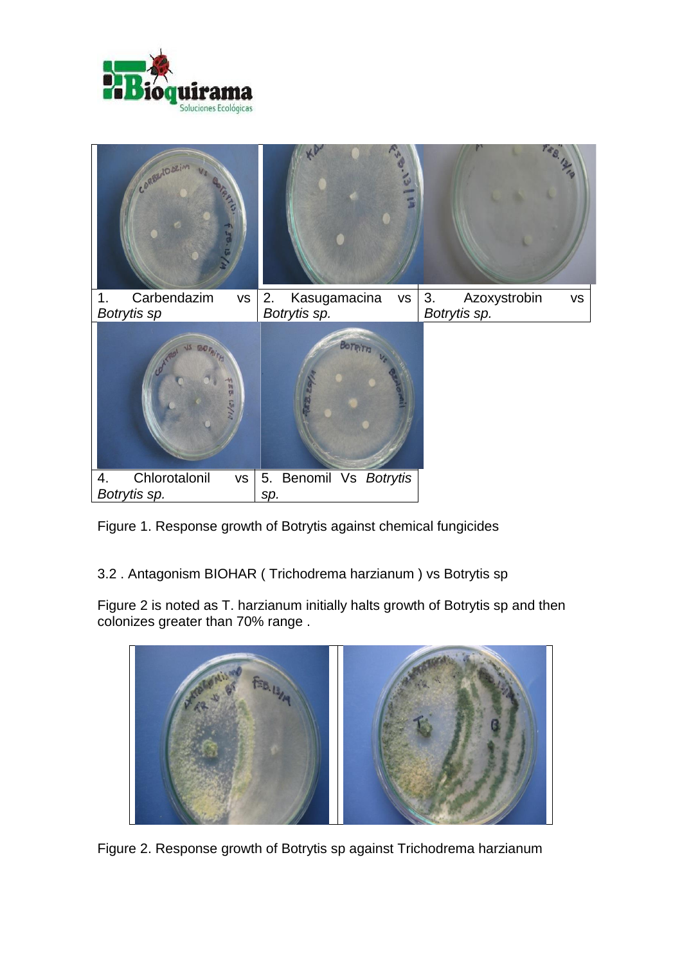



Figure 1. Response growth of Botrytis against chemical fungicides

3.2 . Antagonism BIOHAR ( Trichodrema harzianum ) vs Botrytis sp

Figure 2 is noted as T. harzianum initially halts growth of Botrytis sp and then colonizes greater than 70% range .



Figure 2. Response growth of Botrytis sp against Trichodrema harzianum